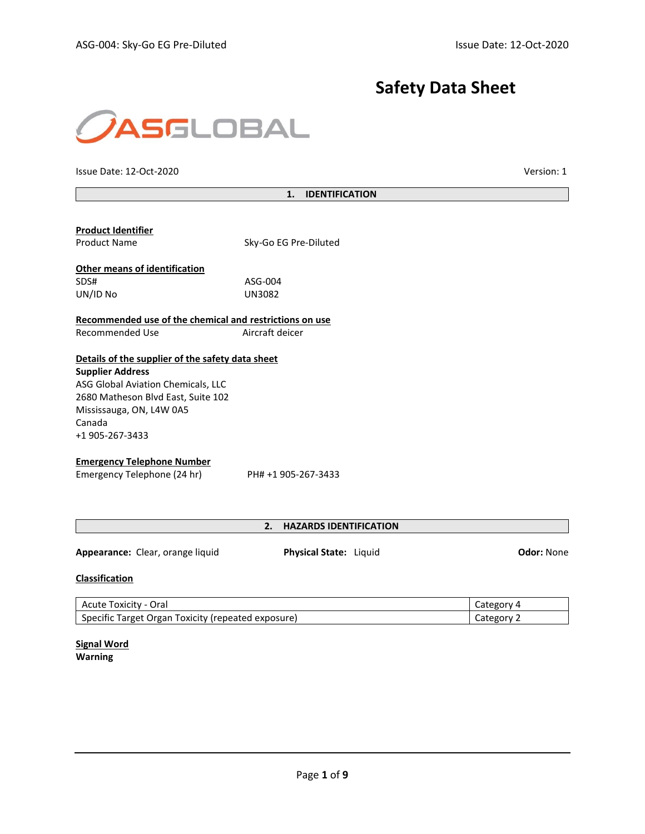# **Safety Data Sheet**



Issue Date: 12-Oct-2020 Version: 1

# **1. IDENTIFICATION**

| <b>Product Identifier</b><br><b>Product Name</b>         | Sky-Go EG Pre-Diluted |
|----------------------------------------------------------|-----------------------|
| <b>Other means of identification</b><br>SDS#<br>UN/ID No | ASG-004<br>UN3082     |
|                                                          |                       |

**Recommended use of the chemical and restrictions on use** Recommended Use Aircraft deicer

# **Details of the supplier of the safety data sheet**

**Supplier Address** ASG Global Aviation Chemicals, LLC 2680 Matheson Blvd East, Suite 102 Mississauga, ON, L4W 0A5 Canada +1 905-267-3433

#### **Emergency Telephone Number**

Emergency Telephone (24 hr) PH# +1 905-267-3433

# **2. HAZARDS IDENTIFICATION**

**Appearance:** Clear, orange liquid **Physical State:** Liquid **Odor:** None

# **Classification**

| Acute Toxicity - Oral                              | Category 4        |
|----------------------------------------------------|-------------------|
| Specific Target Organ Toxicity (repeated exposure) | Category $\angle$ |

**Signal Word Warning**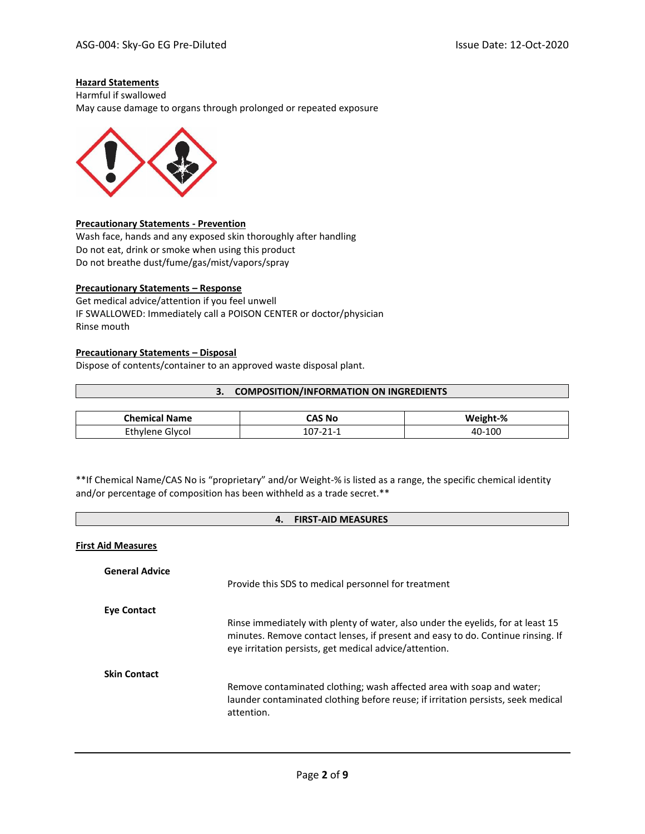# **Hazard Statements**

Harmful if swallowed May cause damage to organs through prolonged or repeated exposure



## **Precautionary Statements - Prevention**

Wash face, hands and any exposed skin thoroughly after handling Do not eat, drink or smoke when using this product Do not breathe dust/fume/gas/mist/vapors/spray

# **Precautionary Statements – Response**

Get medical advice/attention if you feel unwell IF SWALLOWED: Immediately call a POISON CENTER or doctor/physician Rinse mouth

# **Precautionary Statements – Disposal**

Dispose of contents/container to an approved waste disposal plant.

## **3. COMPOSITION/INFORMATION ON INGREDIENTS**

| <b>Chemical</b><br><b>Name</b> | `AS No | Weight-%     |
|--------------------------------|--------|--------------|
| Givcol<br>᠁                    |        | -100<br>40-° |

\*\*If Chemical Name/CAS No is "proprietary" and/or Weight-% is listed as a range, the specific chemical identity and/or percentage of composition has been withheld as a trade secret.\*\*

| <b>FIRST-AID MEASURES</b><br>4. |                                                                                                                                                                                                                              |  |
|---------------------------------|------------------------------------------------------------------------------------------------------------------------------------------------------------------------------------------------------------------------------|--|
| <b>First Aid Measures</b>       |                                                                                                                                                                                                                              |  |
| <b>General Advice</b>           | Provide this SDS to medical personnel for treatment                                                                                                                                                                          |  |
| Eye Contact                     | Rinse immediately with plenty of water, also under the eyelids, for at least 15<br>minutes. Remove contact lenses, if present and easy to do. Continue rinsing. If<br>eye irritation persists, get medical advice/attention. |  |
| <b>Skin Contact</b>             | Remove contaminated clothing; wash affected area with soap and water;<br>launder contaminated clothing before reuse; if irritation persists, seek medical<br>attention.                                                      |  |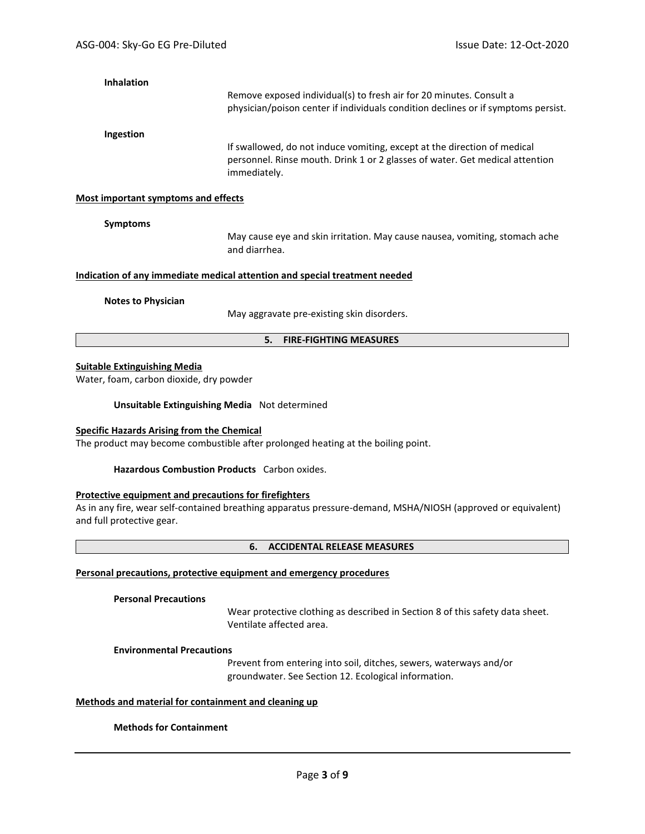## **Inhalation**

Remove exposed individual(s) to fresh air for 20 minutes. Consult a physician/poison center if individuals condition declines or if symptoms persist.

#### **Ingestion**

If swallowed, do not induce vomiting, except at the direction of medical personnel. Rinse mouth. Drink 1 or 2 glasses of water. Get medical attention immediately.

## **Most important symptoms and effects**

#### **Symptoms**

May cause eye and skin irritation. May cause nausea, vomiting, stomach ache and diarrhea.

# **Indication of any immediate medical attention and special treatment needed**

#### **Notes to Physician**

May aggravate pre-existing skin disorders.

#### **5. FIRE-FIGHTING MEASURES**

## **Suitable Extinguishing Media**

Water, foam, carbon dioxide, dry powder

**Unsuitable Extinguishing Media** Not determined

## **Specific Hazards Arising from the Chemical**

The product may become combustible after prolonged heating at the boiling point.

**Hazardous Combustion Products** Carbon oxides.

## **Protective equipment and precautions for firefighters**

As in any fire, wear self-contained breathing apparatus pressure-demand, MSHA/NIOSH (approved or equivalent) and full protective gear.

#### **6. ACCIDENTAL RELEASE MEASURES**

# **Personal precautions, protective equipment and emergency procedures**

### **Personal Precautions**

Wear protective clothing as described in Section 8 of this safety data sheet. Ventilate affected area.

#### **Environmental Precautions**

Prevent from entering into soil, ditches, sewers, waterways and/or groundwater. See Section 12. Ecological information.

## **Methods and material for containment and cleaning up**

# **Methods for Containment**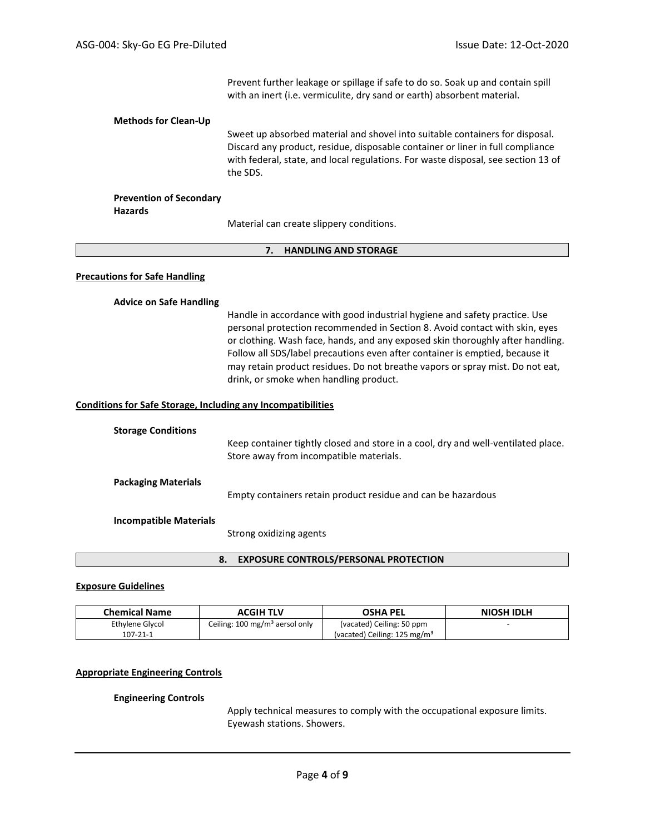Prevent further leakage or spillage if safe to do so. Soak up and contain spill with an inert (i.e. vermiculite, dry sand or earth) absorbent material.

#### **Methods for Clean-Up**

Sweet up absorbed material and shovel into suitable containers for disposal. Discard any product, residue, disposable container or liner in full compliance with federal, state, and local regulations. For waste disposal, see section 13 of the SDS.

# **Prevention of Secondary**

**Hazards**

Material can create slippery conditions.

## **7. HANDLING AND STORAGE**

# **Precautions for Safe Handling**

## **Advice on Safe Handling**

Handle in accordance with good industrial hygiene and safety practice. Use personal protection recommended in Section 8. Avoid contact with skin, eyes or clothing. Wash face, hands, and any exposed skin thoroughly after handling. Follow all SDS/label precautions even after container is emptied, because it may retain product residues. Do not breathe vapors or spray mist. Do not eat, drink, or smoke when handling product.

#### **Conditions for Safe Storage, Including any Incompatibilities**

| <b>Storage Conditions</b>     | Keep container tightly closed and store in a cool, dry and well-ventilated place.<br>Store away from incompatible materials. |
|-------------------------------|------------------------------------------------------------------------------------------------------------------------------|
| <b>Packaging Materials</b>    | Empty containers retain product residue and can be hazardous                                                                 |
| <b>Incompatible Materials</b> | Strong oxidizing agents                                                                                                      |

### **8. EXPOSURE CONTROLS/PERSONAL PROTECTION**

# **Exposure Guidelines**

| <b>Chemical Name</b><br>ACGIH TLV |                                           | <b>OSHA PEL</b>                          | <b>NIOSH IDLH</b> |
|-----------------------------------|-------------------------------------------|------------------------------------------|-------------------|
| Ethylene Glycol                   | Ceiling: $100 \text{ mg/m}^3$ aersol only | (vacated) Ceiling: 50 ppm                |                   |
| $107 - 21 - 1$                    |                                           | (vacated) Ceiling: 125 mg/m <sup>3</sup> |                   |

## **Appropriate Engineering Controls**

#### **Engineering Controls**

Apply technical measures to comply with the occupational exposure limits. Eyewash stations. Showers.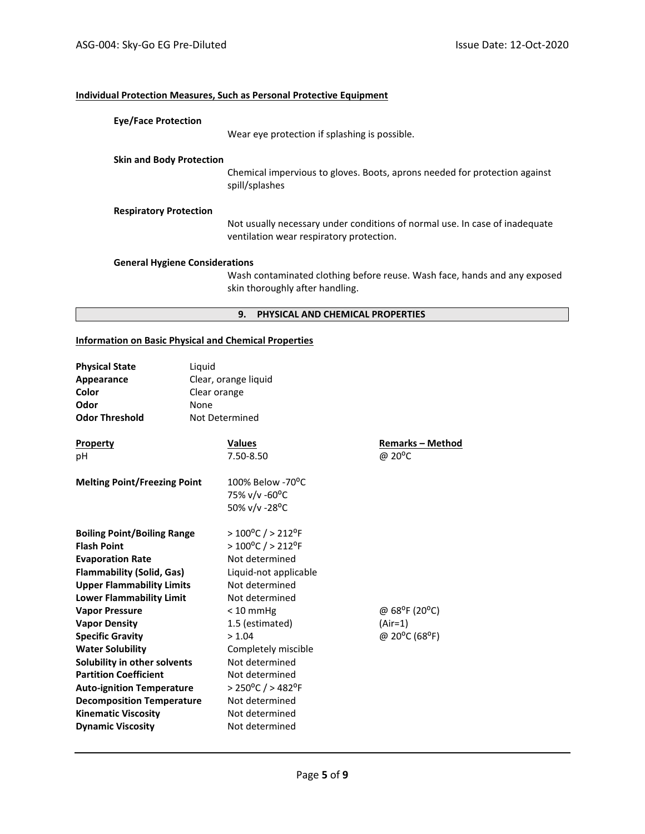# **Individual Protection Measures, Such as Personal Protective Equipment**

| <b>Eye/Face Protection</b>            |                                                                                                                         |
|---------------------------------------|-------------------------------------------------------------------------------------------------------------------------|
|                                       | Wear eve protection if splashing is possible.                                                                           |
| <b>Skin and Body Protection</b>       |                                                                                                                         |
|                                       | Chemical impervious to gloves. Boots, aprons needed for protection against<br>spill/splashes                            |
| <b>Respiratory Protection</b>         |                                                                                                                         |
|                                       | Not usually necessary under conditions of normal use. In case of inadequate<br>ventilation wear respiratory protection. |
| <b>General Hygiene Considerations</b> |                                                                                                                         |
|                                       | Wash contaminated clothing before reuse. Wash face, hands and any exposed                                               |

Wash contaminated clothing before reuse. Wash face, hands and any exposed skin thoroughly after handling.

# **9. PHYSICAL AND CHEMICAL PROPERTIES**

# **Information on Basic Physical and Chemical Properties**

| <b>Physical State</b><br>Appearance<br>Color<br>Odor<br><b>Odor Threshold</b> | Liquid<br>Clear orange<br>None<br>Not Determined | Clear, orange liquid                                               |                                         |
|-------------------------------------------------------------------------------|--------------------------------------------------|--------------------------------------------------------------------|-----------------------------------------|
| <b>Property</b>                                                               |                                                  | <b>Values</b>                                                      | <b>Remarks – Method</b>                 |
| рH                                                                            |                                                  | 7.50-8.50                                                          | @ 20 <sup>o</sup> C                     |
| <b>Melting Point/Freezing Point</b>                                           |                                                  | $100\%$ Below -70 <sup>o</sup> C<br>75% v/v -60°C<br>50% v/v -28°C |                                         |
| <b>Boiling Point/Boiling Range</b><br><b>Flash Point</b>                      |                                                  | $>100^{\circ}$ C / > 212°F<br>$>100^{\circ}$ C / > 212°F           |                                         |
| <b>Evaporation Rate</b>                                                       |                                                  | Not determined                                                     |                                         |
| <b>Flammability (Solid, Gas)</b>                                              |                                                  | Liquid-not applicable                                              |                                         |
| <b>Upper Flammability Limits</b>                                              |                                                  | Not determined                                                     |                                         |
| <b>Lower Flammability Limit</b>                                               |                                                  | Not determined                                                     |                                         |
| <b>Vapor Pressure</b>                                                         |                                                  | $< 10$ mmHg                                                        | @ 68 <sup>o</sup> F (20 <sup>o</sup> C) |
| <b>Vapor Density</b>                                                          |                                                  | 1.5 (estimated)                                                    | $(Air=1)$                               |
| <b>Specific Gravity</b>                                                       |                                                  | > 1.04                                                             | @ 20°C (68°F)                           |
| <b>Water Solubility</b>                                                       |                                                  | Completely miscible                                                |                                         |
| Solubility in other solvents                                                  |                                                  | Not determined                                                     |                                         |
| <b>Partition Coefficient</b>                                                  |                                                  | Not determined                                                     |                                         |
| <b>Auto-ignition Temperature</b>                                              |                                                  | $> 250^{\circ}$ C / $> 482^{\circ}$ F                              |                                         |
| <b>Decomposition Temperature</b>                                              |                                                  | Not determined                                                     |                                         |
| <b>Kinematic Viscosity</b>                                                    |                                                  | Not determined                                                     |                                         |
| <b>Dynamic Viscosity</b>                                                      |                                                  | Not determined                                                     |                                         |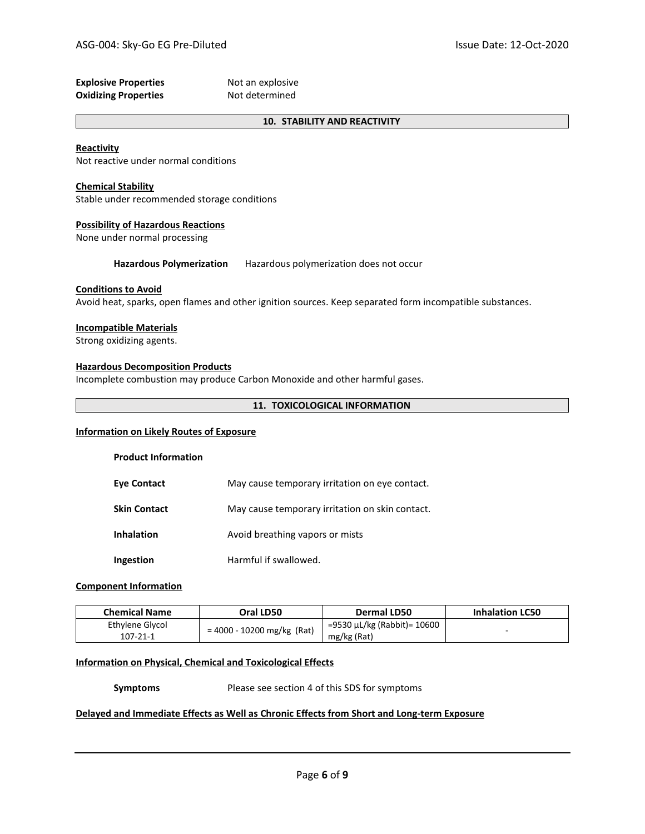| <b>Explosive Properties</b> | Not an explosive |
|-----------------------------|------------------|
| <b>Oxidizing Properties</b> | Not determined   |

# **10. STABILITY AND REACTIVITY**

### **Reactivity**

Not reactive under normal conditions

### **Chemical Stability**

Stable under recommended storage conditions

# **Possibility of Hazardous Reactions**

None under normal processing

**Hazardous Polymerization** Hazardous polymerization does not occur

# **Conditions to Avoid**

Avoid heat, sparks, open flames and other ignition sources. Keep separated form incompatible substances.

#### **Incompatible Materials**

Strong oxidizing agents.

## **Hazardous Decomposition Products**

Incomplete combustion may produce Carbon Monoxide and other harmful gases.

# **11. TOXICOLOGICAL INFORMATION**

# **Information on Likely Routes of Exposure**

# **Product Information**

| <b>Eye Contact</b>  | May cause temporary irritation on eye contact.  |
|---------------------|-------------------------------------------------|
| <b>Skin Contact</b> | May cause temporary irritation on skin contact. |
| <b>Inhalation</b>   | Avoid breathing vapors or mists                 |
| Ingestion           | Harmful if swallowed.                           |

# **Component Information**

| <b>Chemical Name</b> | Oral LD50                    | Dermal LD50                 | <b>Inhalation LC50</b> |
|----------------------|------------------------------|-----------------------------|------------------------|
| Ethylene Glycol      |                              | =9530 μL/kg (Rabbit)= 10600 |                        |
| 107-21-1             | $= 4000 - 10200$ mg/kg (Rat) | mg/kg (Rat)                 | $-$                    |

# **Information on Physical, Chemical and Toxicological Effects**

**Symptoms** Please see section 4 of this SDS for symptoms

#### **Delayed and Immediate Effects as Well as Chronic Effects from Short and Long-term Exposure**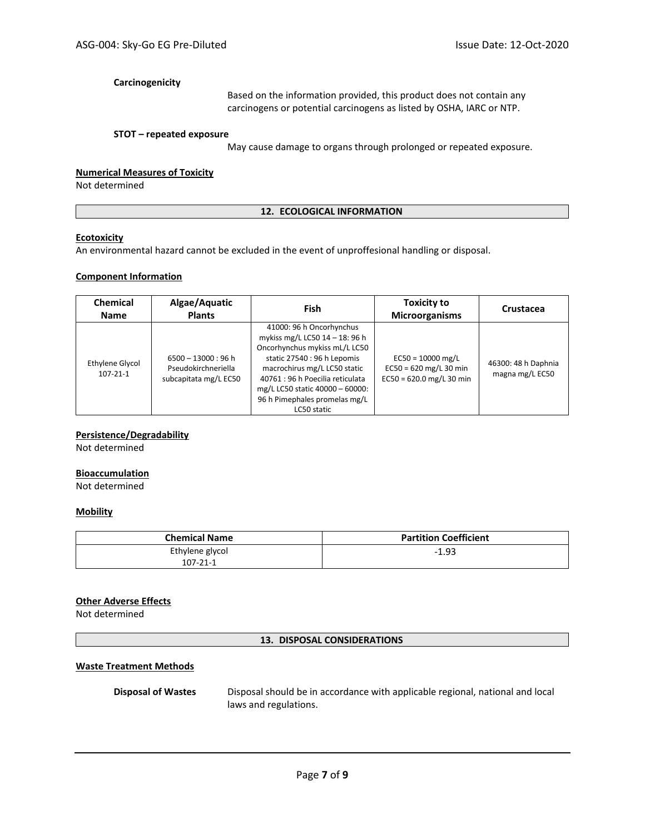# **Carcinogenicity**

Based on the information provided, this product does not contain any carcinogens or potential carcinogens as listed by OSHA, IARC or NTP.

## **STOT – repeated exposure**

May cause damage to organs through prolonged or repeated exposure.

# **Numerical Measures of Toxicity**

Not determined

#### **12. ECOLOGICAL INFORMATION**

# **Ecotoxicity**

An environmental hazard cannot be excluded in the event of unproffesional handling or disposal.

## **Component Information**

| Chemical<br><b>Name</b>           | Algae/Aquatic<br><b>Plants</b>                                        | <b>Fish</b>                                                                                                                                                                                                                                                                       | <b>Toxicity to</b><br><b>Microorganisms</b>                                   | Crustacea                              |
|-----------------------------------|-----------------------------------------------------------------------|-----------------------------------------------------------------------------------------------------------------------------------------------------------------------------------------------------------------------------------------------------------------------------------|-------------------------------------------------------------------------------|----------------------------------------|
| Ethylene Glycol<br>$107 - 21 - 1$ | $6500 - 13000 : 96 h$<br>Pseudokirchneriella<br>subcapitata mg/L EC50 | 41000: 96 h Oncorhynchus<br>mykiss mg/L LC50 14 - 18: 96 h<br>Oncorhynchus mykiss mL/L LC50<br>static 27540 : 96 h Lepomis<br>macrochirus mg/L LC50 static<br>40761 : 96 h Poecilia reticulata<br>mg/L LC50 static 40000 - 60000:<br>96 h Pimephales promelas mg/L<br>LC50 static | $EC50 = 10000$ mg/L<br>$EC50 = 620$ mg/L 30 min<br>$EC50 = 620.0$ mg/L 30 min | 46300: 48 h Daphnia<br>magna mg/L EC50 |

# **Persistence/Degradability**

Not determined

# **Bioaccumulation**

Not determined

# **Mobility**

| <b>Chemical Name</b> | <b>Partition Coefficient</b> |  |  |
|----------------------|------------------------------|--|--|
| Ethylene glycol      | $-1.93$                      |  |  |
| $107 - 21 - 1$       |                              |  |  |

## **Other Adverse Effects**

Not determined

#### **13. DISPOSAL CONSIDERATIONS**

## **Waste Treatment Methods**

**Disposal of Wastes** Disposal should be in accordance with applicable regional, national and local laws and regulations.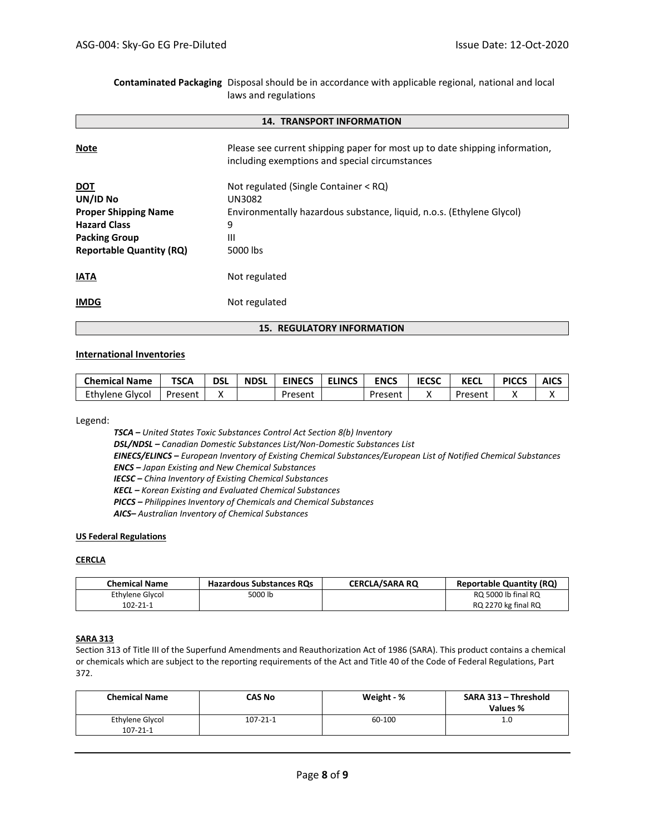**14. TRANSPORT INFORMATION Note Please see current shipping paper for most up to date shipping information,** including exemptions and special circumstances **DOT** Not regulated (Single Container < RQ) **UN/ID No** UN3082 **Proper Shipping Name** Environmentally hazardous substance, liquid, n.o.s. (Ethylene Glycol) **Hazard Class** 9 **Packing Group III Reportable Quantity (RQ)** 5000 lbs **IATA** Not regulated **IMDG** Not regulated

**Contaminated Packaging** Disposal should be in accordance with applicable regional, national and local

laws and regulations

**15. REGULATORY INFORMATION**

## **International Inventories**

| <b>Chemical Name</b> | <b>TSCA</b> | <b>DSI</b> | <b>NDSL</b> | <b>EINECS</b> | <b>ELINCS</b> | <b>ENCS</b> | <b>IECSC</b> | <b>KECL</b> | <b>PICCS</b> | <b>AICS</b> |
|----------------------|-------------|------------|-------------|---------------|---------------|-------------|--------------|-------------|--------------|-------------|
| Ethvlene Glvcol      | Present     |            |             | Present       |               | Present     |              | Present     |              |             |

Legend:

*TSCA – United States Toxic Substances Control Act Section 8(b) Inventory DSL/NDSL – Canadian Domestic Substances List/Non-Domestic Substances List EINECS/ELINCS – European Inventory of Existing Chemical Substances/European List of Notified Chemical Substances ENCS – Japan Existing and New Chemical Substances IECSC – China Inventory of Existing Chemical Substances KECL – Korean Existing and Evaluated Chemical Substances PICCS – Philippines Inventory of Chemicals and Chemical Substances AICS– Australian Inventory of Chemical Substances*

## **US Federal Regulations**

# **CERCLA**

| <b>Chemical Name</b> | <b>Hazardous Substances RQs</b> | <b>CERCLA/SARA RO</b> | <b>Reportable Quantity (RQ)</b> |
|----------------------|---------------------------------|-----------------------|---------------------------------|
| Ethylene Glycol      | 5000 lb                         |                       | RQ 5000 lb final RQ             |
| $102 - 21 - 1$       |                                 |                       | RQ 2270 kg final RQ             |

## **SARA 313**

Section 313 of Title III of the Superfund Amendments and Reauthorization Act of 1986 (SARA). This product contains a chemical or chemicals which are subject to the reporting requirements of the Act and Title 40 of the Code of Federal Regulations, Part 372.

| <b>Chemical Name</b>              | <b>CAS No</b>  | Weight - % | SARA 313 - Threshold<br>Values % |
|-----------------------------------|----------------|------------|----------------------------------|
| Ethylene Glycol<br>$107 - 21 - 1$ | $107 - 21 - 1$ | 60-100     | 1.0                              |